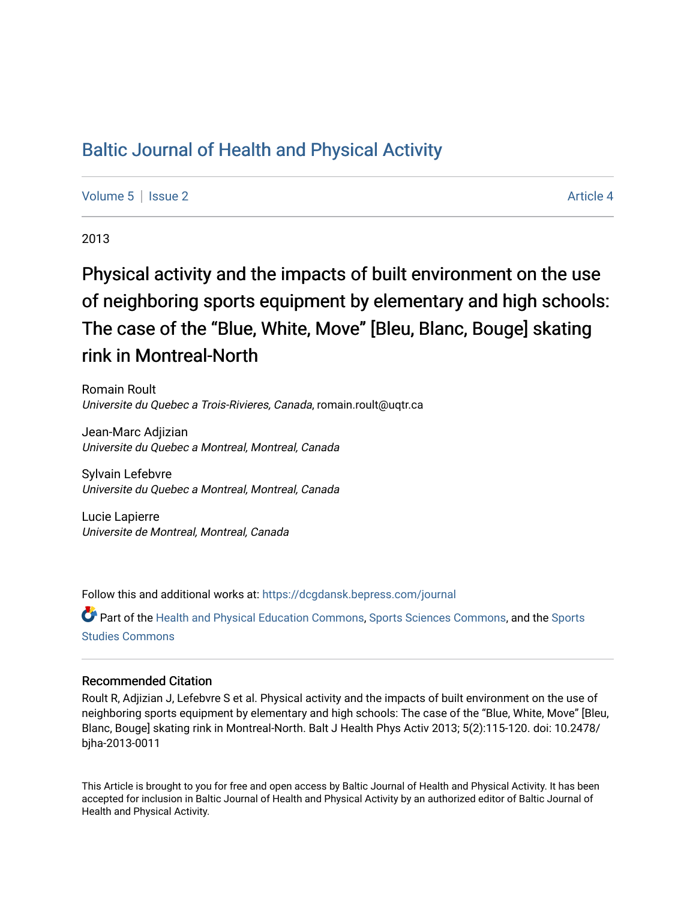# [Baltic Journal of Health and Physical Activity](https://dcgdansk.bepress.com/journal)

[Volume 5](https://dcgdansk.bepress.com/journal/vol5) | [Issue 2](https://dcgdansk.bepress.com/journal/vol5/iss2) Article 4

2013

# Physical activity and the impacts of built environment on the use of neighboring sports equipment by elementary and high schools: The case of the "Blue, White, Move" [Bleu, Blanc, Bouge] skating rink in Montreal-North

Romain Roult Universite du Quebec a Trois-Rivieres, Canada, romain.roult@uqtr.ca

Jean-Marc Adjizian Universite du Quebec a Montreal, Montreal, Canada

Sylvain Lefebvre Universite du Quebec a Montreal, Montreal, Canada

Lucie Lapierre Universite de Montreal, Montreal, Canada

Follow this and additional works at: [https://dcgdansk.bepress.com/journal](https://dcgdansk.bepress.com/journal?utm_source=dcgdansk.bepress.com%2Fjournal%2Fvol5%2Fiss2%2F4&utm_medium=PDF&utm_campaign=PDFCoverPages)

Part of the [Health and Physical Education Commons](http://network.bepress.com/hgg/discipline/1327?utm_source=dcgdansk.bepress.com%2Fjournal%2Fvol5%2Fiss2%2F4&utm_medium=PDF&utm_campaign=PDFCoverPages), [Sports Sciences Commons](http://network.bepress.com/hgg/discipline/759?utm_source=dcgdansk.bepress.com%2Fjournal%2Fvol5%2Fiss2%2F4&utm_medium=PDF&utm_campaign=PDFCoverPages), and the [Sports](http://network.bepress.com/hgg/discipline/1198?utm_source=dcgdansk.bepress.com%2Fjournal%2Fvol5%2Fiss2%2F4&utm_medium=PDF&utm_campaign=PDFCoverPages)  [Studies Commons](http://network.bepress.com/hgg/discipline/1198?utm_source=dcgdansk.bepress.com%2Fjournal%2Fvol5%2Fiss2%2F4&utm_medium=PDF&utm_campaign=PDFCoverPages) 

#### Recommended Citation

Roult R, Adjizian J, Lefebvre S et al. Physical activity and the impacts of built environment on the use of neighboring sports equipment by elementary and high schools: The case of the "Blue, White, Move" [Bleu, Blanc, Bouge] skating rink in Montreal-North. Balt J Health Phys Activ 2013; 5(2):115-120. doi: 10.2478/ bjha-2013-0011

This Article is brought to you for free and open access by Baltic Journal of Health and Physical Activity. It has been accepted for inclusion in Baltic Journal of Health and Physical Activity by an authorized editor of Baltic Journal of Health and Physical Activity.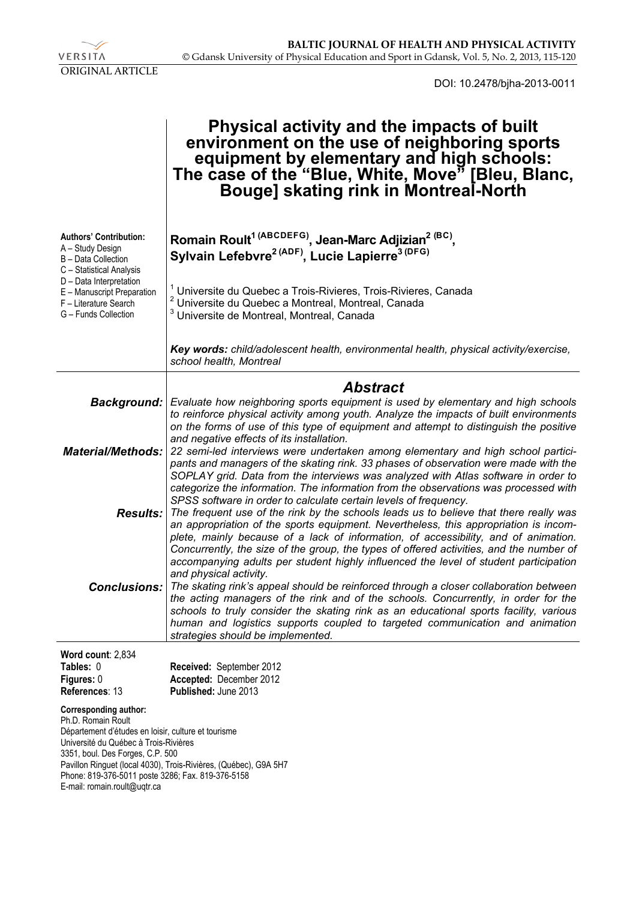

DOI: 10.2478/bjha-2013-0011

|                                                                                                                                                                                                                                                                                                                                                 | Physical activity and the impacts of built<br>environment on the use of neighboring sports<br>equipment by elementary and high schools:<br>The case of the "Blue, White, Move" [Bleu, Blanc,<br>Bouge] skating rink in Montreal-North                                                                                                                                                                                                                                                                                                |
|-------------------------------------------------------------------------------------------------------------------------------------------------------------------------------------------------------------------------------------------------------------------------------------------------------------------------------------------------|--------------------------------------------------------------------------------------------------------------------------------------------------------------------------------------------------------------------------------------------------------------------------------------------------------------------------------------------------------------------------------------------------------------------------------------------------------------------------------------------------------------------------------------|
| <b>Authors' Contribution:</b><br>A - Study Design<br>B - Data Collection<br>C - Statistical Analysis<br>D - Data Interpretation<br>E - Manuscript Preparation<br>F - Literature Search<br>G - Funds Collection                                                                                                                                  | Romain Roult <sup>1 (ABCDEFG)</sup> , Jean-Marc Adjizian <sup>2 (BC)</sup> ,<br>Sylvain Lefebvre <sup>2 (ADF)</sup> , Lucie Lapierre <sup>3 (DFG)</sup>                                                                                                                                                                                                                                                                                                                                                                              |
|                                                                                                                                                                                                                                                                                                                                                 | Universite du Quebec a Trois-Rivieres, Trois-Rivieres, Canada<br>Universite du Quebec a Montreal, Montreal, Canada<br>Universite de Montreal, Montreal, Canada                                                                                                                                                                                                                                                                                                                                                                       |
|                                                                                                                                                                                                                                                                                                                                                 | Key words: child/adolescent health, environmental health, physical activity/exercise,<br>school health, Montreal                                                                                                                                                                                                                                                                                                                                                                                                                     |
|                                                                                                                                                                                                                                                                                                                                                 | <b>Abstract</b>                                                                                                                                                                                                                                                                                                                                                                                                                                                                                                                      |
|                                                                                                                                                                                                                                                                                                                                                 | Background: Evaluate how neighboring sports equipment is used by elementary and high schools<br>to reinforce physical activity among youth. Analyze the impacts of built environments<br>on the forms of use of this type of equipment and attempt to distinguish the positive<br>and negative effects of its installation.                                                                                                                                                                                                          |
| <b>Material/Methods:</b>                                                                                                                                                                                                                                                                                                                        | 22 semi-led interviews were undertaken among elementary and high school partici-<br>pants and managers of the skating rink. 33 phases of observation were made with the<br>SOPLAY grid. Data from the interviews was analyzed with Atlas software in order to<br>categorize the information. The information from the observations was processed with                                                                                                                                                                                |
|                                                                                                                                                                                                                                                                                                                                                 | SPSS software in order to calculate certain levels of frequency.<br>Results: The frequent use of the rink by the schools leads us to believe that there really was<br>an appropriation of the sports equipment. Nevertheless, this appropriation is incom-<br>plete, mainly because of a lack of information, of accessibility, and of animation.<br>Concurrently, the size of the group, the types of offered activities, and the number of<br>accompanying adults per student highly influenced the level of student participation |
|                                                                                                                                                                                                                                                                                                                                                 | and physical activity.<br><b>Conclusions:</b> The skating rink's appeal should be reinforced through a closer collaboration between<br>the acting managers of the rink and of the schools. Concurrently, in order for the<br>schools to truly consider the skating rink as an educational sports facility, various<br>human and logistics supports coupled to targeted communication and animation<br>strategies should be implemented.                                                                                              |
| Word count: 2,834                                                                                                                                                                                                                                                                                                                               |                                                                                                                                                                                                                                                                                                                                                                                                                                                                                                                                      |
| Tables: 0<br>Figures: 0<br>References: 13                                                                                                                                                                                                                                                                                                       | Received: September 2012<br>Accepted: December 2012<br>Published: June 2013                                                                                                                                                                                                                                                                                                                                                                                                                                                          |
| <b>Corresponding author:</b><br>Ph.D. Romain Roult<br>Département d'études en loisir, culture et tourisme<br>Université du Québec à Trois-Rivières<br>3351, boul. Des Forges, C.P. 500<br>Pavillon Ringuet (local 4030), Trois-Rivières, (Québec), G9A 5H7<br>Phone: 819-376-5011 poste 3286; Fax. 819-376-5158<br>E-mail: romain.roult@uqtr.ca |                                                                                                                                                                                                                                                                                                                                                                                                                                                                                                                                      |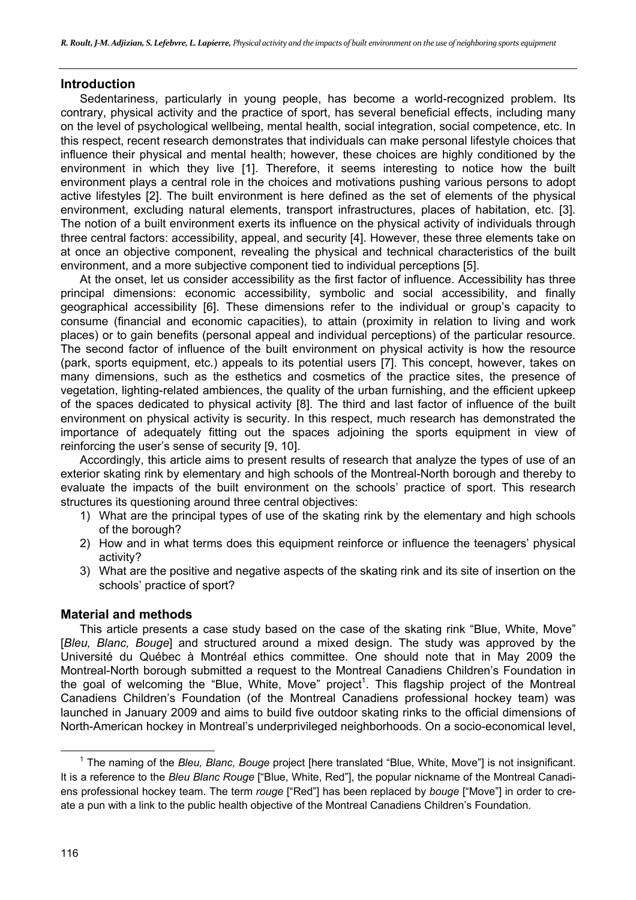# **Introduction**

Sedentariness, particularly in young people, has become a world-recognized problem. Its contrary, physical activity and the practice of sport, has several beneficial effects, including many on the level of psychological wellbeing, mental health, social integration, social competence, etc. In this respect, recent research demonstrates that individuals can make personal lifestyle choices that influence their physical and mental health; however, these choices are highly conditioned by the environment in which they live [1]. Therefore, it seems interesting to notice how the built environment plays a central role in the choices and motivations pushing various persons to adopt active lifestyles [2]. The built environment is here defined as the set of elements of the physical environment, excluding natural elements, transport infrastructures, places of habitation, etc. [3]. The notion of a built environment exerts its influence on the physical activity of individuals through three central factors: accessibility, appeal, and security [4]. However, these three elements take on at once an objective component, revealing the physical and technical characteristics of the built environment, and a more subjective component tied to individual perceptions [5].

At the onset, let us consider accessibility as the first factor of influence. Accessibility has three principal dimensions: economic accessibility, symbolic and social accessibility, and finally geographical accessibility [6]. These dimensions refer to the individual or group's capacity to consume (financial and economic capacities), to attain (proximity in relation to living and work places) or to gain benefits (personal appeal and individual perceptions) of the particular resource. The second factor of influence of the built environment on physical activity is how the resource (park, sports equipment, etc.) appeals to its potential users [7]. This concept, however, takes on many dimensions, such as the esthetics and cosmetics of the practice sites, the presence of vegetation, lighting-related ambiences, the quality of the urban furnishing, and the efficient upkeep of the spaces dedicated to physical activity [8]. The third and last factor of influence of the built environment on physical activity is security. In this respect, much research has demonstrated the importance of adequately fitting out the spaces adjoining the sports equipment in view of reinforcing the user's sense of security [9, 10].

Accordingly, this article aims to present results of research that analyze the types of use of an exterior skating rink by elementary and high schools of the Montreal-North borough and thereby to evaluate the impacts of the built environment on the schools' practice of sport. This research structures its questioning around three central objectives:

- 1) What are the principal types of use of the skating rink by the elementary and high schools of the borough?
- 2) How and in what terms does this equipment reinforce or influence the teenagers' physical activity?
- 3) What are the positive and negative aspects of the skating rink and its site of insertion on the schools' practice of sport?

# **Material and methods**

This article presents a case study based on the case of the skating rink "Blue, White, Move" [*Bleu, Blanc, Bouge*] and structured around a mixed design. The study was approved by the Université du Québec à Montréal ethics committee. One should note that in May 2009 the Montreal-North borough submitted a request to the Montreal Canadiens Children's Foundation in the goal of welcoming the "Blue, White, Move" project<sup>1</sup>. This flagship project of the Montreal Canadiens Children's Foundation (of the Montreal Canadiens professional hockey team) was launched in January 2009 and aims to build five outdoor skating rinks to the official dimensions of North-American hockey in Montreal's underprivileged neighborhoods. On a socio-economical level,

 $\overline{\phantom{0}}$  1 <sup>1</sup> The naming of the *Bleu, Blanc, Bouge* project [here translated "Blue, White, Move"] is not insignificant. It is a reference to the *Bleu Blanc Rouge* ["Blue, White, Red"], the popular nickname of the Montreal Canadiens professional hockey team. The term *rouge* ["Red"] has been replaced by *bouge* ["Move"] in order to create a pun with a link to the public health objective of the Montreal Canadiens Children's Foundation.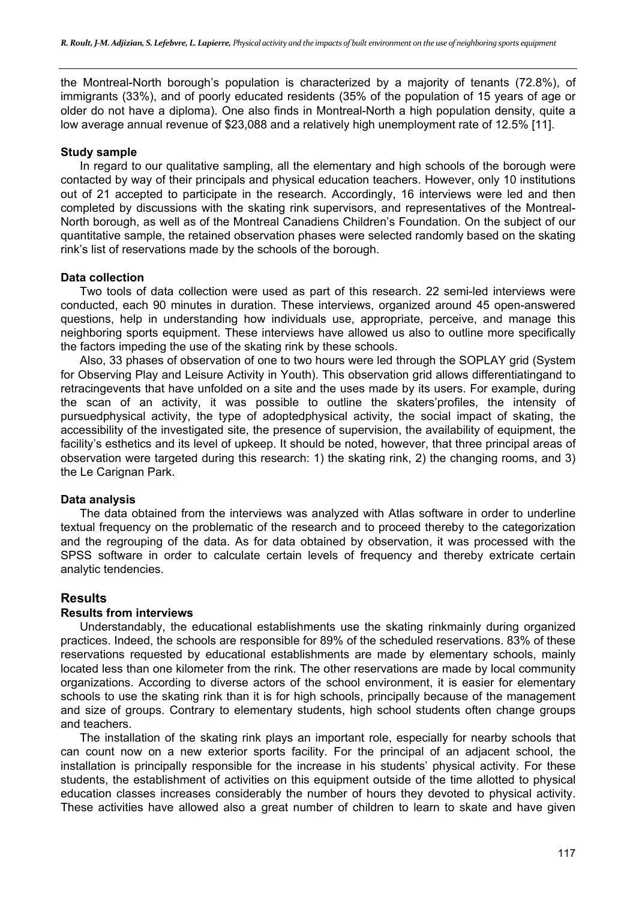the Montreal-North borough's population is characterized by a majority of tenants (72.8%), of immigrants (33%), and of poorly educated residents (35% of the population of 15 years of age or older do not have a diploma). One also finds in Montreal-North a high population density, quite a low average annual revenue of \$23,088 and a relatively high unemployment rate of 12.5% [11].

#### **Study sample**

In regard to our qualitative sampling, all the elementary and high schools of the borough were contacted by way of their principals and physical education teachers. However, only 10 institutions out of 21 accepted to participate in the research. Accordingly, 16 interviews were led and then completed by discussions with the skating rink supervisors, and representatives of the Montreal-North borough, as well as of the Montreal Canadiens Children's Foundation. On the subject of our quantitative sample, the retained observation phases were selected randomly based on the skating rink's list of reservations made by the schools of the borough.

# **Data collection**

Two tools of data collection were used as part of this research. 22 semi-led interviews were conducted, each 90 minutes in duration. These interviews, organized around 45 open-answered questions, help in understanding how individuals use, appropriate, perceive, and manage this neighboring sports equipment. These interviews have allowed us also to outline more specifically the factors impeding the use of the skating rink by these schools.

Also, 33 phases of observation of one to two hours were led through the SOPLAY grid (System for Observing Play and Leisure Activity in Youth). This observation grid allows differentiatingand to retracingevents that have unfolded on a site and the uses made by its users. For example, during the scan of an activity, it was possible to outline the skaters'profiles, the intensity of pursuedphysical activity, the type of adoptedphysical activity, the social impact of skating, the accessibility of the investigated site, the presence of supervision, the availability of equipment, the facility's esthetics and its level of upkeep. It should be noted, however, that three principal areas of observation were targeted during this research: 1) the skating rink, 2) the changing rooms, and 3) the Le Carignan Park.

# **Data analysis**

The data obtained from the interviews was analyzed with Atlas software in order to underline textual frequency on the problematic of the research and to proceed thereby to the categorization and the regrouping of the data. As for data obtained by observation, it was processed with the SPSS software in order to calculate certain levels of frequency and thereby extricate certain analytic tendencies.

# **Results**

#### **Results from interviews**

Understandably, the educational establishments use the skating rinkmainly during organized practices. Indeed, the schools are responsible for 89% of the scheduled reservations. 83% of these reservations requested by educational establishments are made by elementary schools, mainly located less than one kilometer from the rink. The other reservations are made by local community organizations. According to diverse actors of the school environment, it is easier for elementary schools to use the skating rink than it is for high schools, principally because of the management and size of groups. Contrary to elementary students, high school students often change groups and teachers.

The installation of the skating rink plays an important role, especially for nearby schools that can count now on a new exterior sports facility. For the principal of an adjacent school, the installation is principally responsible for the increase in his students' physical activity. For these students, the establishment of activities on this equipment outside of the time allotted to physical education classes increases considerably the number of hours they devoted to physical activity. These activities have allowed also a great number of children to learn to skate and have given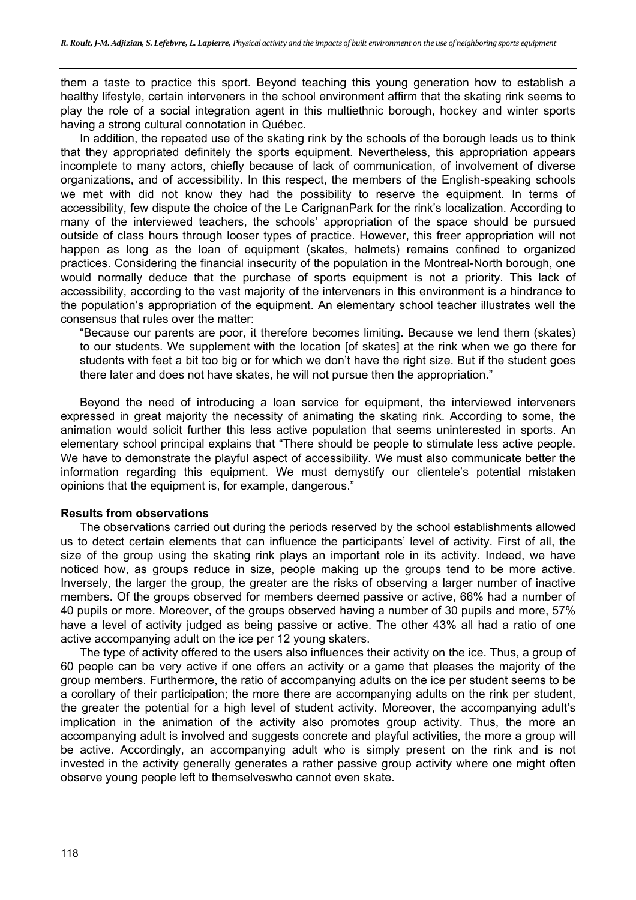them a taste to practice this sport. Beyond teaching this young generation how to establish a healthy lifestyle, certain interveners in the school environment affirm that the skating rink seems to play the role of a social integration agent in this multiethnic borough, hockey and winter sports having a strong cultural connotation in Québec.

In addition, the repeated use of the skating rink by the schools of the borough leads us to think that they appropriated definitely the sports equipment. Nevertheless, this appropriation appears incomplete to many actors, chiefly because of lack of communication, of involvement of diverse organizations, and of accessibility. In this respect, the members of the English-speaking schools we met with did not know they had the possibility to reserve the equipment. In terms of accessibility, few dispute the choice of the Le CarignanPark for the rink's localization. According to many of the interviewed teachers, the schools' appropriation of the space should be pursued outside of class hours through looser types of practice. However, this freer appropriation will not happen as long as the loan of equipment (skates, helmets) remains confined to organized practices. Considering the financial insecurity of the population in the Montreal-North borough, one would normally deduce that the purchase of sports equipment is not a priority. This lack of accessibility, according to the vast majority of the interveners in this environment is a hindrance to the population's appropriation of the equipment. An elementary school teacher illustrates well the consensus that rules over the matter:

"Because our parents are poor, it therefore becomes limiting. Because we lend them (skates) to our students. We supplement with the location [of skates] at the rink when we go there for students with feet a bit too big or for which we don't have the right size. But if the student goes there later and does not have skates, he will not pursue then the appropriation."

Beyond the need of introducing a loan service for equipment, the interviewed interveners expressed in great majority the necessity of animating the skating rink. According to some, the animation would solicit further this less active population that seems uninterested in sports. An elementary school principal explains that "There should be people to stimulate less active people. We have to demonstrate the playful aspect of accessibility. We must also communicate better the information regarding this equipment. We must demystify our clientele's potential mistaken opinions that the equipment is, for example, dangerous."

#### **Results from observations**

The observations carried out during the periods reserved by the school establishments allowed us to detect certain elements that can influence the participants' level of activity. First of all, the size of the group using the skating rink plays an important role in its activity. Indeed, we have noticed how, as groups reduce in size, people making up the groups tend to be more active. Inversely, the larger the group, the greater are the risks of observing a larger number of inactive members. Of the groups observed for members deemed passive or active, 66% had a number of 40 pupils or more. Moreover, of the groups observed having a number of 30 pupils and more, 57% have a level of activity judged as being passive or active. The other 43% all had a ratio of one active accompanying adult on the ice per 12 young skaters.

The type of activity offered to the users also influences their activity on the ice. Thus, a group of 60 people can be very active if one offers an activity or a game that pleases the majority of the group members. Furthermore, the ratio of accompanying adults on the ice per student seems to be a corollary of their participation; the more there are accompanying adults on the rink per student, the greater the potential for a high level of student activity. Moreover, the accompanying adult's implication in the animation of the activity also promotes group activity. Thus, the more an accompanying adult is involved and suggests concrete and playful activities, the more a group will be active. Accordingly, an accompanying adult who is simply present on the rink and is not invested in the activity generally generates a rather passive group activity where one might often observe young people left to themselveswho cannot even skate.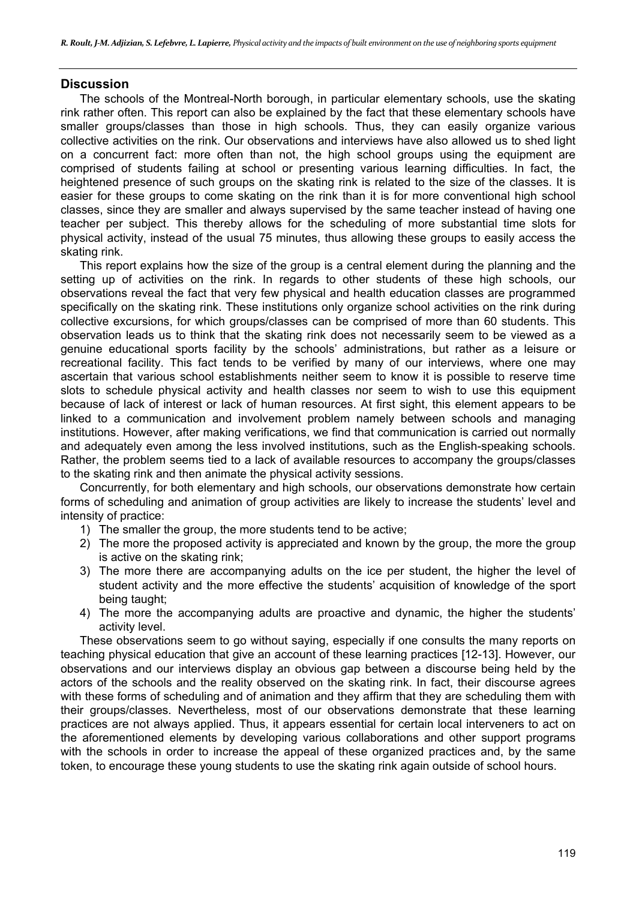# **Discussion**

The schools of the Montreal-North borough, in particular elementary schools, use the skating rink rather often. This report can also be explained by the fact that these elementary schools have smaller groups/classes than those in high schools. Thus, they can easily organize various collective activities on the rink. Our observations and interviews have also allowed us to shed light on a concurrent fact: more often than not, the high school groups using the equipment are comprised of students failing at school or presenting various learning difficulties. In fact, the heightened presence of such groups on the skating rink is related to the size of the classes. It is easier for these groups to come skating on the rink than it is for more conventional high school classes, since they are smaller and always supervised by the same teacher instead of having one teacher per subject. This thereby allows for the scheduling of more substantial time slots for physical activity, instead of the usual 75 minutes, thus allowing these groups to easily access the skating rink.

This report explains how the size of the group is a central element during the planning and the setting up of activities on the rink. In regards to other students of these high schools, our observations reveal the fact that very few physical and health education classes are programmed specifically on the skating rink. These institutions only organize school activities on the rink during collective excursions, for which groups/classes can be comprised of more than 60 students. This observation leads us to think that the skating rink does not necessarily seem to be viewed as a genuine educational sports facility by the schools' administrations, but rather as a leisure or recreational facility. This fact tends to be verified by many of our interviews, where one may ascertain that various school establishments neither seem to know it is possible to reserve time slots to schedule physical activity and health classes nor seem to wish to use this equipment because of lack of interest or lack of human resources. At first sight, this element appears to be linked to a communication and involvement problem namely between schools and managing institutions. However, after making verifications, we find that communication is carried out normally and adequately even among the less involved institutions, such as the English-speaking schools. Rather, the problem seems tied to a lack of available resources to accompany the groups/classes to the skating rink and then animate the physical activity sessions.

Concurrently, for both elementary and high schools, our observations demonstrate how certain forms of scheduling and animation of group activities are likely to increase the students' level and intensity of practice:

- 1) The smaller the group, the more students tend to be active;
- 2) The more the proposed activity is appreciated and known by the group, the more the group is active on the skating rink;
- 3) The more there are accompanying adults on the ice per student, the higher the level of student activity and the more effective the students' acquisition of knowledge of the sport being taught;
- 4) The more the accompanying adults are proactive and dynamic, the higher the students' activity level.

These observations seem to go without saying, especially if one consults the many reports on teaching physical education that give an account of these learning practices [12-13]. However, our observations and our interviews display an obvious gap between a discourse being held by the actors of the schools and the reality observed on the skating rink. In fact, their discourse agrees with these forms of scheduling and of animation and they affirm that they are scheduling them with their groups/classes. Nevertheless, most of our observations demonstrate that these learning practices are not always applied. Thus, it appears essential for certain local interveners to act on the aforementioned elements by developing various collaborations and other support programs with the schools in order to increase the appeal of these organized practices and, by the same token, to encourage these young students to use the skating rink again outside of school hours.